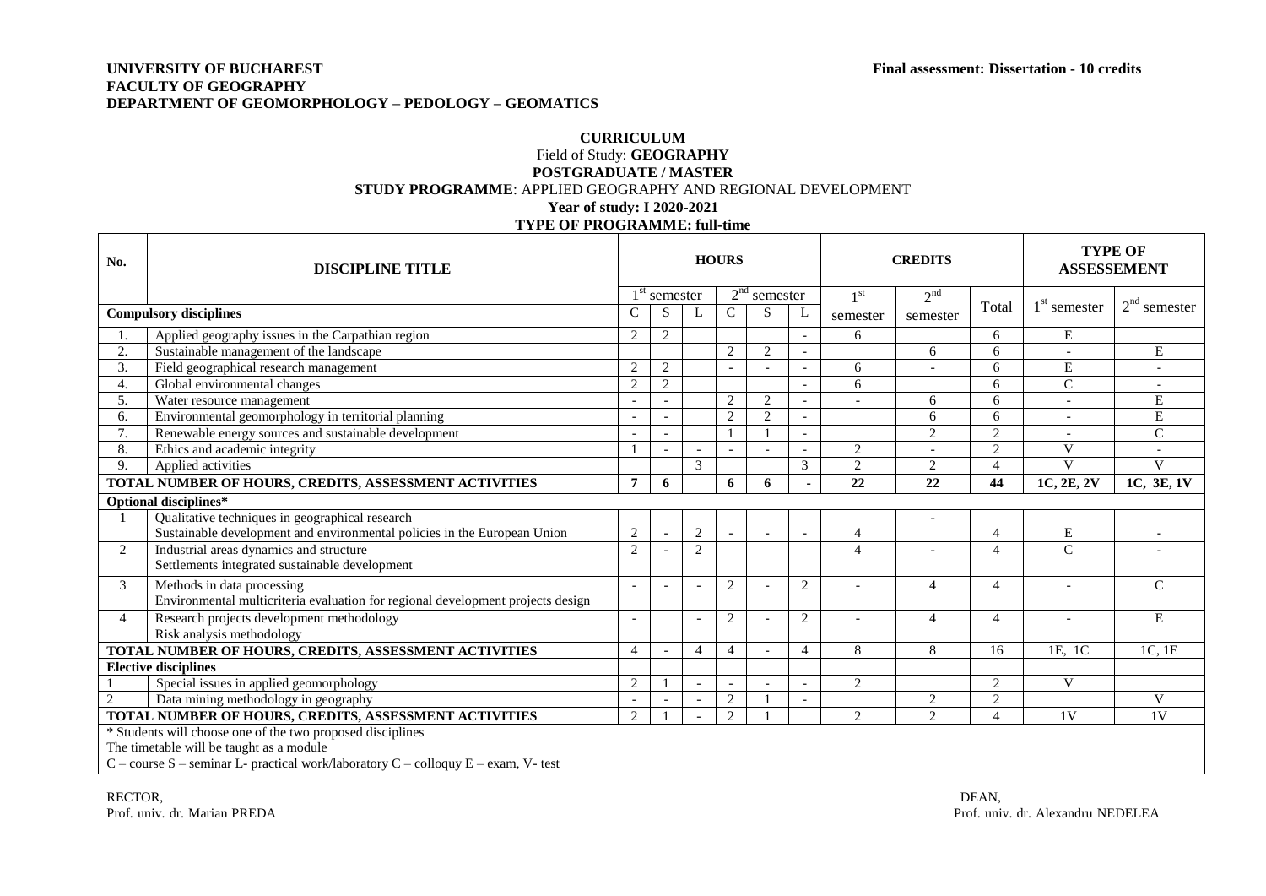## **UNIVERSITY OF BUCHAREST Final assessment: Dissertation - 10 credits FACULTY OF GEOGRAPHY DEPARTMENT OF GEOMORPHOLOGY – PEDOLOGY – GEOMATICS**

## **CURRICULUM** Field of Study: **GEOGRAPHY POSTGRADUATE / MASTER STUDY PROGRAMME**: APPLIED GEOGRAPHY AND REGIONAL DEVELOPMENT **Year of study: I 2020-2021 TYPE OF PROGRAMME: full-time**

| No.                                                                                    | <b>DISCIPLINE TITLE</b>                                                                                                     | <b>HOURS</b>             |                |                          |                |                |                | <b>CREDITS</b>           |                 |                           | <b>TYPE OF</b><br><b>ASSESSEMENT</b> |                          |
|----------------------------------------------------------------------------------------|-----------------------------------------------------------------------------------------------------------------------------|--------------------------|----------------|--------------------------|----------------|----------------|----------------|--------------------------|-----------------|---------------------------|--------------------------------------|--------------------------|
|                                                                                        |                                                                                                                             |                          | $1st$ semester |                          |                | $2nd$ semester |                | 1 <sup>st</sup>          | 2 <sup>nd</sup> |                           |                                      |                          |
| <b>Compulsory disciplines</b>                                                          |                                                                                                                             | C                        | S              | L                        | C              | S              | L              | semester                 | semester        | Total                     | $1st$ semester                       | $2nd$ semester           |
|                                                                                        | Applied geography issues in the Carpathian region                                                                           | 2                        | $\overline{c}$ |                          |                |                |                | 6                        |                 | 6                         | $\mathbf E$                          |                          |
| 2.                                                                                     | Sustainable management of the landscape                                                                                     |                          |                |                          | 2              | 2              |                |                          | 6               | 6                         |                                      | E                        |
| 3.                                                                                     | Field geographical research management                                                                                      | $\overline{2}$           | $\overline{c}$ |                          |                |                |                | 6                        |                 | 6                         | E                                    |                          |
| 4.                                                                                     | Global environmental changes                                                                                                | $\overline{2}$           | $\overline{c}$ |                          |                |                |                | 6                        |                 | 6                         | $\overline{C}$                       | $\overline{\phantom{a}}$ |
| 5.                                                                                     | Water resource management                                                                                                   |                          |                |                          | 2              | 2              |                |                          | 6               | 6                         | $\overline{\phantom{a}}$             | E                        |
| 6.                                                                                     | Environmental geomorphology in territorial planning                                                                         | $\sim$                   |                |                          | 2              | 2              |                |                          | 6               | 6                         | $\overline{a}$                       | ${\bf E}$                |
| 7.                                                                                     | Renewable energy sources and sustainable development                                                                        |                          |                |                          |                |                |                |                          | $\overline{2}$  | $\overline{2}$            |                                      | $\mathbf C$              |
| 8.                                                                                     | Ethics and academic integrity                                                                                               |                          |                |                          |                |                |                | $\overline{2}$           |                 | $\overline{2}$            | V                                    |                          |
| 9.                                                                                     | Applied activities                                                                                                          |                          |                | 3                        |                |                | 3              | $\mathfrak{D}$           | 2               | $\boldsymbol{\varDelta}$  | $\mathbf{V}$                         | $\overline{V}$           |
|                                                                                        | TOTAL NUMBER OF HOURS, CREDITS, ASSESSMENT ACTIVITIES                                                                       | $\overline{7}$           | 6              |                          | 6              | 6              |                | $\overline{22}$          | 22              | 44                        | 1C, 2E, 2V                           | 1C, 3E, 1V               |
| Optional disciplines*                                                                  |                                                                                                                             |                          |                |                          |                |                |                |                          |                 |                           |                                      |                          |
|                                                                                        | Qualitative techniques in geographical research<br>Sustainable development and environmental policies in the European Union | 2                        |                | 2                        |                |                |                | $\overline{4}$           |                 | $\overline{4}$            | E                                    |                          |
| $\overline{2}$                                                                         | Industrial areas dynamics and structure<br>Settlements integrated sustainable development                                   | 2                        |                | 2                        |                |                |                | $\overline{4}$           |                 | $\Delta$                  | $\mathcal{C}$                        |                          |
| 3                                                                                      | Methods in data processing<br>Environmental multicriteria evaluation for regional development projects design               | $\overline{a}$           |                |                          | 2              |                | 2              |                          | $\overline{4}$  | $\overline{4}$            | $\blacksquare$                       | $\mathcal{C}$            |
| $\boldsymbol{\Delta}$                                                                  | Research projects development methodology<br>Risk analysis methodology                                                      | $\overline{\phantom{a}}$ |                | $\overline{\phantom{a}}$ | 2              |                | 2              | $\overline{\phantom{a}}$ | $\overline{4}$  | $\overline{4}$            | $\overline{\phantom{a}}$             | E                        |
|                                                                                        | TOTAL NUMBER OF HOURS, CREDITS, ASSESSMENT ACTIVITIES                                                                       | $\overline{4}$           |                | $\overline{4}$           | $\overline{4}$ |                | $\overline{4}$ | 8                        | 8               | 16                        | 1E, 1C                               | 1C, 1E                   |
| <b>Elective disciplines</b>                                                            |                                                                                                                             |                          |                |                          |                |                |                |                          |                 |                           |                                      |                          |
|                                                                                        | Special issues in applied geomorphology                                                                                     | 2                        |                |                          |                |                | $\overline{a}$ | 2                        |                 | $\overline{2}$            | V                                    |                          |
| $\overline{2}$                                                                         | Data mining methodology in geography                                                                                        |                          |                |                          | 2              |                |                |                          | $\mathbf{2}$    | $\overline{2}$            |                                      | $\mathbf{V}$             |
| TOTAL NUMBER OF HOURS, CREDITS, ASSESSMENT ACTIVITIES                                  |                                                                                                                             | 2                        |                |                          | 2              |                |                | 2                        | $\overline{2}$  | $\boldsymbol{\varLambda}$ | 1V                                   | 1 <sup>V</sup>           |
| * Students will choose one of the two proposed disciplines                             |                                                                                                                             |                          |                |                          |                |                |                |                          |                 |                           |                                      |                          |
| The timetable will be taught as a module                                               |                                                                                                                             |                          |                |                          |                |                |                |                          |                 |                           |                                      |                          |
| $C$ – course S – seminar L- practical work/laboratory $C$ – colloquy E – exam, V- test |                                                                                                                             |                          |                |                          |                |                |                |                          |                 |                           |                                      |                          |